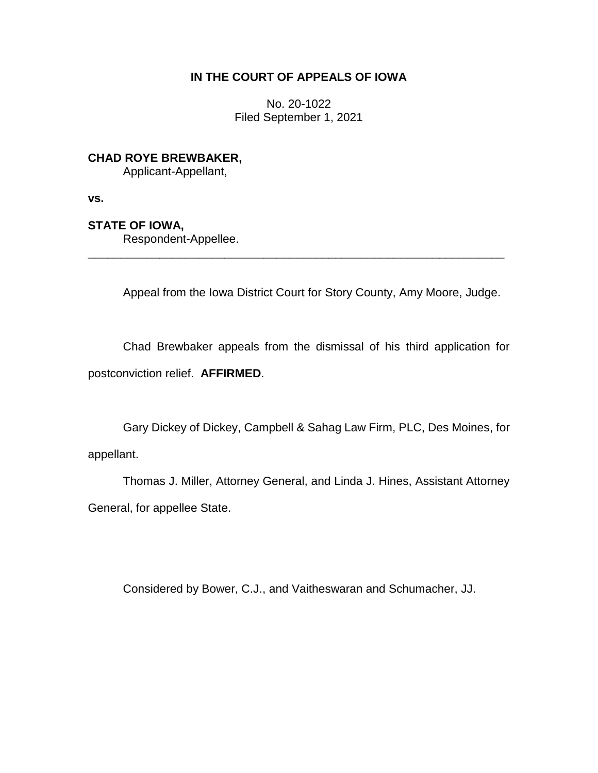## **IN THE COURT OF APPEALS OF IOWA**

No. 20-1022 Filed September 1, 2021

**CHAD ROYE BREWBAKER,**

Applicant-Appellant,

**vs.**

**STATE OF IOWA,**

Respondent-Appellee.

Appeal from the Iowa District Court for Story County, Amy Moore, Judge.

Chad Brewbaker appeals from the dismissal of his third application for postconviction relief. **AFFIRMED**.

\_\_\_\_\_\_\_\_\_\_\_\_\_\_\_\_\_\_\_\_\_\_\_\_\_\_\_\_\_\_\_\_\_\_\_\_\_\_\_\_\_\_\_\_\_\_\_\_\_\_\_\_\_\_\_\_\_\_\_\_\_\_\_\_

Gary Dickey of Dickey, Campbell & Sahag Law Firm, PLC, Des Moines, for appellant.

Thomas J. Miller, Attorney General, and Linda J. Hines, Assistant Attorney General, for appellee State.

Considered by Bower, C.J., and Vaitheswaran and Schumacher, JJ.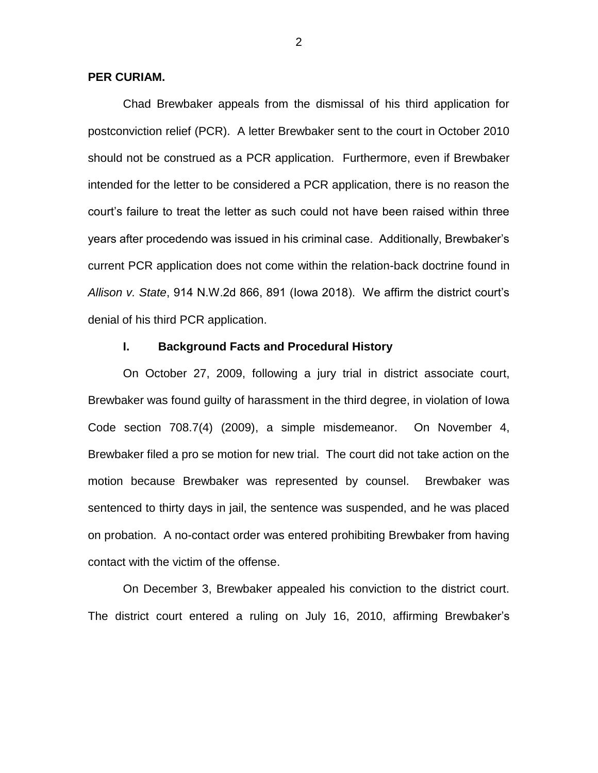### **PER CURIAM.**

Chad Brewbaker appeals from the dismissal of his third application for postconviction relief (PCR). A letter Brewbaker sent to the court in October 2010 should not be construed as a PCR application. Furthermore, even if Brewbaker intended for the letter to be considered a PCR application, there is no reason the court's failure to treat the letter as such could not have been raised within three years after procedendo was issued in his criminal case. Additionally, Brewbaker's current PCR application does not come within the relation-back doctrine found in *Allison v. State*, 914 N.W.2d 866, 891 (Iowa 2018). We affirm the district court's denial of his third PCR application.

#### **I. Background Facts and Procedural History**

On October 27, 2009, following a jury trial in district associate court, Brewbaker was found guilty of harassment in the third degree, in violation of Iowa Code section 708.7(4) (2009), a simple misdemeanor. On November 4, Brewbaker filed a pro se motion for new trial. The court did not take action on the motion because Brewbaker was represented by counsel. Brewbaker was sentenced to thirty days in jail, the sentence was suspended, and he was placed on probation. A no-contact order was entered prohibiting Brewbaker from having contact with the victim of the offense.

On December 3, Brewbaker appealed his conviction to the district court. The district court entered a ruling on July 16, 2010, affirming Brewbaker's

2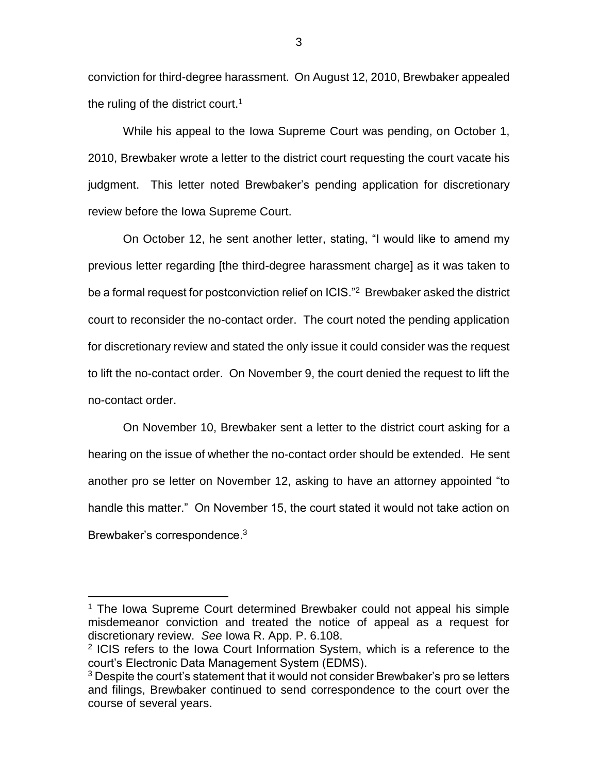conviction for third-degree harassment. On August 12, 2010, Brewbaker appealed the ruling of the district court.<sup>1</sup>

While his appeal to the Iowa Supreme Court was pending, on October 1, 2010, Brewbaker wrote a letter to the district court requesting the court vacate his judgment. This letter noted Brewbaker's pending application for discretionary review before the Iowa Supreme Court.

On October 12, he sent another letter, stating, "I would like to amend my previous letter regarding [the third-degree harassment charge] as it was taken to be a formal request for postconviction relief on ICIS."<sup>2</sup> Brewbaker asked the district court to reconsider the no-contact order. The court noted the pending application for discretionary review and stated the only issue it could consider was the request to lift the no-contact order. On November 9, the court denied the request to lift the no-contact order.

On November 10, Brewbaker sent a letter to the district court asking for a hearing on the issue of whether the no-contact order should be extended. He sent another pro se letter on November 12, asking to have an attorney appointed "to handle this matter." On November 15, the court stated it would not take action on Brewbaker's correspondence.<sup>3</sup>

 $\overline{a}$ 

3

<sup>&</sup>lt;sup>1</sup> The Iowa Supreme Court determined Brewbaker could not appeal his simple misdemeanor conviction and treated the notice of appeal as a request for discretionary review. *See* Iowa R. App. P. 6.108.

<sup>&</sup>lt;sup>2</sup> ICIS refers to the Iowa Court Information System, which is a reference to the court's Electronic Data Management System (EDMS).

 $3$  Despite the court's statement that it would not consider Brewbaker's pro se letters and filings, Brewbaker continued to send correspondence to the court over the course of several years.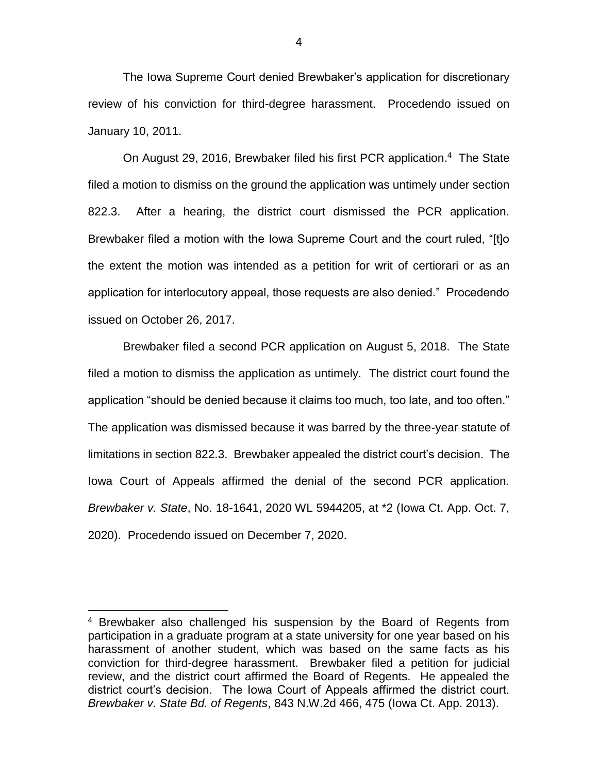The Iowa Supreme Court denied Brewbaker's application for discretionary review of his conviction for third-degree harassment. Procedendo issued on January 10, 2011.

On August 29, 2016, Brewbaker filed his first PCR application.<sup>4</sup> The State filed a motion to dismiss on the ground the application was untimely under section 822.3. After a hearing, the district court dismissed the PCR application. Brewbaker filed a motion with the Iowa Supreme Court and the court ruled, "[t]o the extent the motion was intended as a petition for writ of certiorari or as an application for interlocutory appeal, those requests are also denied." Procedendo issued on October 26, 2017.

Brewbaker filed a second PCR application on August 5, 2018. The State filed a motion to dismiss the application as untimely. The district court found the application "should be denied because it claims too much, too late, and too often." The application was dismissed because it was barred by the three-year statute of limitations in section 822.3. Brewbaker appealed the district court's decision. The Iowa Court of Appeals affirmed the denial of the second PCR application. *Brewbaker v. State*, No. 18-1641, 2020 WL 5944205, at \*2 (Iowa Ct. App. Oct. 7, 2020). Procedendo issued on December 7, 2020.

 $\overline{a}$ 

<sup>&</sup>lt;sup>4</sup> Brewbaker also challenged his suspension by the Board of Regents from participation in a graduate program at a state university for one year based on his harassment of another student, which was based on the same facts as his conviction for third-degree harassment. Brewbaker filed a petition for judicial review, and the district court affirmed the Board of Regents. He appealed the district court's decision. The Iowa Court of Appeals affirmed the district court. *Brewbaker v. State Bd. of Regents*, 843 N.W.2d 466, 475 (Iowa Ct. App. 2013).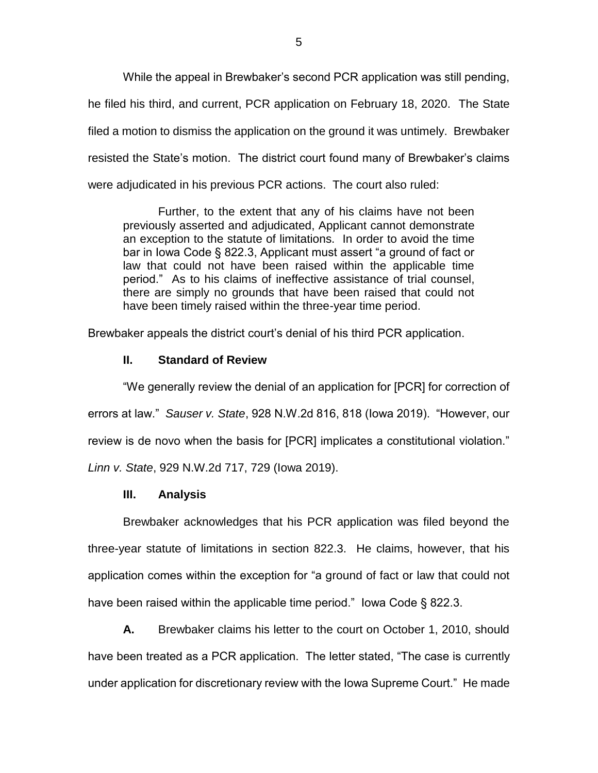While the appeal in Brewbaker's second PCR application was still pending, he filed his third, and current, PCR application on February 18, 2020. The State filed a motion to dismiss the application on the ground it was untimely. Brewbaker resisted the State's motion. The district court found many of Brewbaker's claims were adjudicated in his previous PCR actions. The court also ruled:

Further, to the extent that any of his claims have not been previously asserted and adjudicated, Applicant cannot demonstrate an exception to the statute of limitations. In order to avoid the time bar in Iowa Code § 822.3, Applicant must assert "a ground of fact or law that could not have been raised within the applicable time period." As to his claims of ineffective assistance of trial counsel, there are simply no grounds that have been raised that could not have been timely raised within the three-year time period.

Brewbaker appeals the district court's denial of his third PCR application.

### **II. Standard of Review**

"We generally review the denial of an application for [PCR] for correction of errors at law." *Sauser v. State*, 928 N.W.2d 816, 818 (Iowa 2019). "However, our review is de novo when the basis for [PCR] implicates a constitutional violation." *Linn v. State*, 929 N.W.2d 717, 729 (Iowa 2019).

#### **III. Analysis**

Brewbaker acknowledges that his PCR application was filed beyond the three-year statute of limitations in section 822.3. He claims, however, that his application comes within the exception for "a ground of fact or law that could not have been raised within the applicable time period." Iowa Code § 822.3.

**A.** Brewbaker claims his letter to the court on October 1, 2010, should have been treated as a PCR application. The letter stated, "The case is currently under application for discretionary review with the Iowa Supreme Court." He made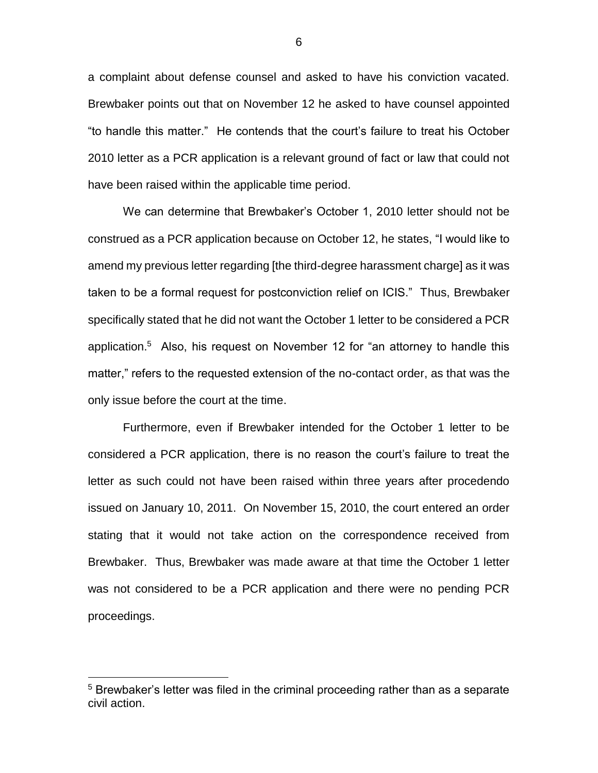a complaint about defense counsel and asked to have his conviction vacated. Brewbaker points out that on November 12 he asked to have counsel appointed "to handle this matter." He contends that the court's failure to treat his October 2010 letter as a PCR application is a relevant ground of fact or law that could not have been raised within the applicable time period.

We can determine that Brewbaker's October 1, 2010 letter should not be construed as a PCR application because on October 12, he states, "I would like to amend my previous letter regarding [the third-degree harassment charge] as it was taken to be a formal request for postconviction relief on ICIS." Thus, Brewbaker specifically stated that he did not want the October 1 letter to be considered a PCR application.<sup>5</sup> Also, his request on November 12 for "an attorney to handle this matter," refers to the requested extension of the no-contact order, as that was the only issue before the court at the time.

Furthermore, even if Brewbaker intended for the October 1 letter to be considered a PCR application, there is no reason the court's failure to treat the letter as such could not have been raised within three years after procedendo issued on January 10, 2011. On November 15, 2010, the court entered an order stating that it would not take action on the correspondence received from Brewbaker. Thus, Brewbaker was made aware at that time the October 1 letter was not considered to be a PCR application and there were no pending PCR proceedings.

 $\overline{a}$ 

6

<sup>&</sup>lt;sup>5</sup> Brewbaker's letter was filed in the criminal proceeding rather than as a separate civil action.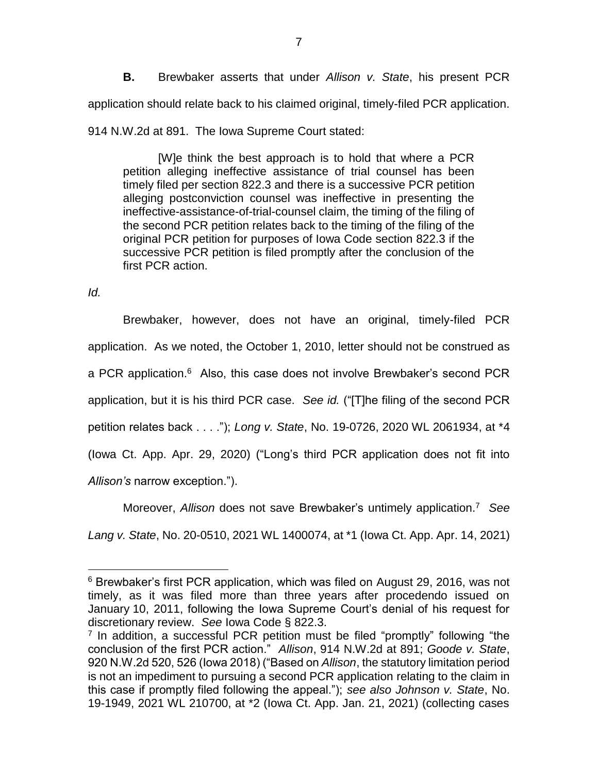**B.** Brewbaker asserts that under *Allison v. State*, his present PCR application should relate back to his claimed original, timely-filed PCR application.

914 N.W.2d at 891. The Iowa Supreme Court stated:

[W]e think the best approach is to hold that where a PCR petition alleging ineffective assistance of trial counsel has been timely filed per section 822.3 and there is a successive PCR petition alleging postconviction counsel was ineffective in presenting the ineffective-assistance-of-trial-counsel claim, the timing of the filing of the second PCR petition relates back to the timing of the filing of the original PCR petition for purposes of Iowa Code section 822.3 if the successive PCR petition is filed promptly after the conclusion of the first PCR action.

*Id.*

 $\overline{a}$ 

Brewbaker, however, does not have an original, timely-filed PCR application. As we noted, the October 1, 2010, letter should not be construed as a PCR application.<sup>6</sup> Also, this case does not involve Brewbaker's second PCR application, but it is his third PCR case. *See id.* ("[T]he filing of the second PCR petition relates back . . . ."); *Long v. State*, No. 19-0726, 2020 WL 2061934, at \*4 (Iowa Ct. App. Apr. 29, 2020) ("Long's third PCR application does not fit into *Allison's* narrow exception.").

Moreover, *Allison* does not save Brewbaker's untimely application.<sup>7</sup> *See Lang v. State*, No. 20-0510, 2021 WL 1400074, at \*1 (Iowa Ct. App. Apr. 14, 2021)

<sup>6</sup> Brewbaker's first PCR application, which was filed on August 29, 2016, was not timely, as it was filed more than three years after procedendo issued on January 10, 2011, following the Iowa Supreme Court's denial of his request for discretionary review. *See* Iowa Code § 822.3.

<sup>&</sup>lt;sup>7</sup> In addition, a successful PCR petition must be filed "promptly" following "the conclusion of the first PCR action." *Allison*, 914 N.W.2d at 891; *Goode v. State*, 920 N.W.2d 520, 526 (Iowa 2018) ("Based on *Allison*, the statutory limitation period is not an impediment to pursuing a second PCR application relating to the claim in this case if promptly filed following the appeal."); *see also Johnson v. State*, No. 19-1949, 2021 WL 210700, at \*2 (Iowa Ct. App. Jan. 21, 2021) (collecting cases